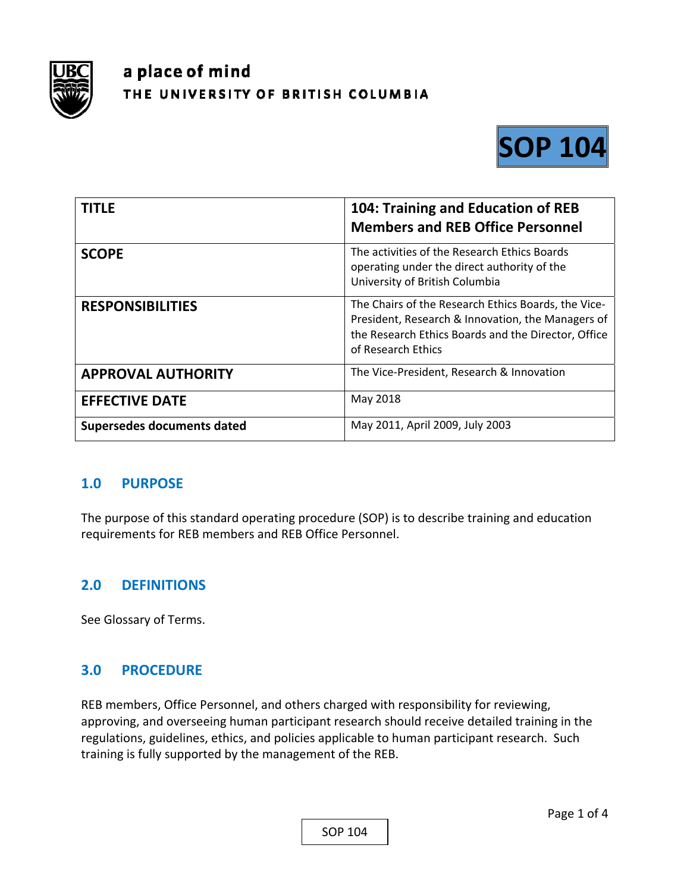

# a place of mind THE UNIVERSITY OF BRITISH COLUMBIA



| <b>TITLE</b>               | 104: Training and Education of REB<br><b>Members and REB Office Personnel</b>                                                                                                         |
|----------------------------|---------------------------------------------------------------------------------------------------------------------------------------------------------------------------------------|
| <b>SCOPE</b>               | The activities of the Research Ethics Boards<br>operating under the direct authority of the<br>University of British Columbia                                                         |
| <b>RESPONSIBILITIES</b>    | The Chairs of the Research Ethics Boards, the Vice-<br>President, Research & Innovation, the Managers of<br>the Research Ethics Boards and the Director, Office<br>of Research Ethics |
| <b>APPROVAL AUTHORITY</b>  | The Vice-President, Research & Innovation                                                                                                                                             |
| <b>EFFECTIVE DATE</b>      | May 2018                                                                                                                                                                              |
| Supersedes documents dated | May 2011, April 2009, July 2003                                                                                                                                                       |

## **1.0 PURPOSE**

The purpose of this standard operating procedure (SOP) is to describe training and education requirements for REB members and REB Office Personnel.

# **2.0 DEFINITIONS**

See Glossary of Terms.

# **3.0 PROCEDURE**

REB members, Office Personnel, and others charged with responsibility for reviewing, approving, and overseeing human participant research should receive detailed training in the regulations, guidelines, ethics, and policies applicable to human participant research. Such training is fully supported by the management of the REB.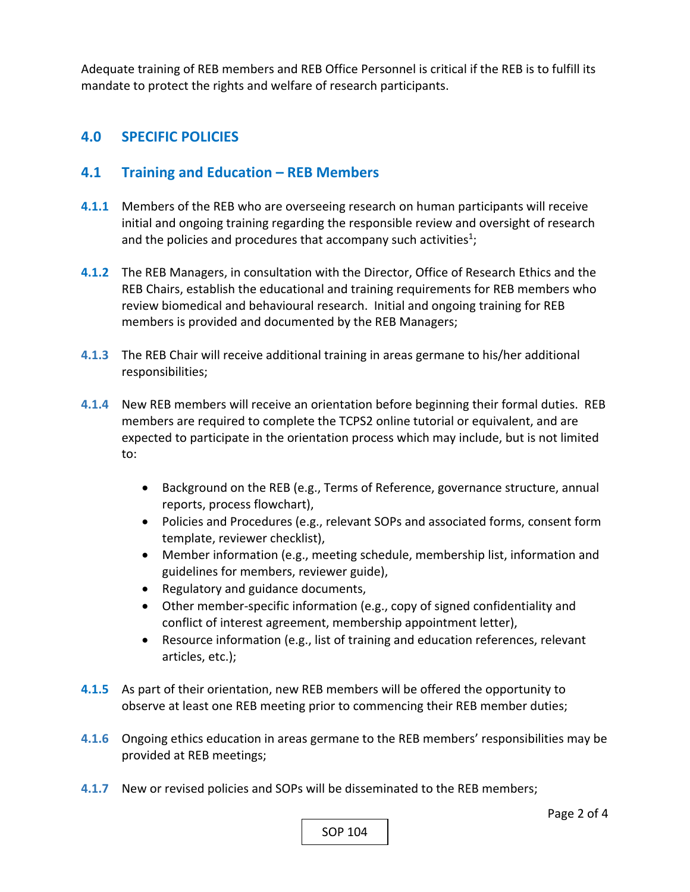Adequate training of REB members and REB Office Personnel is critical if the REB is to fulfill its mandate to protect the rights and welfare of research participants.

## **4.0 SPECIFIC POLICIES**

## **4.1 Training and Education – REB Members**

- **4.1.1**  Members of the REB who are overseeing research on human participants will receive initial and ongoing training regarding the responsible review and oversight of research and the policies and procedures that accompany such activities<sup>1</sup>;
- **4.1.2**  The REB Managers, in consultation with the Director, Office of Research Ethics and the REB Chairs, establish the educational and training requirements for REB members who review biomedical and behavioural research. Initial and ongoing training for REB members is provided and documented by the REB Managers;
- **4.1.3** The REB Chair will receive additional training in areas germane to his/her additional responsibilities;
- **4.1.4** New REB members will receive an orientation before beginning their formal duties. REB members are required to complete the TCPS2 online tutorial or equivalent, and are expected to participate in the orientation process which may include, but is not limited to:
	- Background on the REB (e.g., Terms of Reference, governance structure, annual reports, process flowchart),
	- Policies and Procedures (e.g., relevant SOPs and associated forms, consent form template, reviewer checklist),
	- Member information (e.g., meeting schedule, membership list, information and guidelines for members, reviewer guide),
	- Regulatory and guidance documents,
	- Other member-specific information (e.g., copy of signed confidentiality and conflict of interest agreement, membership appointment letter),
	- Resource information (e.g., list of training and education references, relevant articles, etc.);
- **4.1.5** As part of their orientation, new REB members will be offered the opportunity to observe at least one REB meeting prior to commencing their REB member duties;
- **4.1.6** Ongoing ethics education in areas germane to the REB members' responsibilities may be provided at REB meetings;
- **4.1.7** New or revised policies and SOPs will be disseminated to the REB members;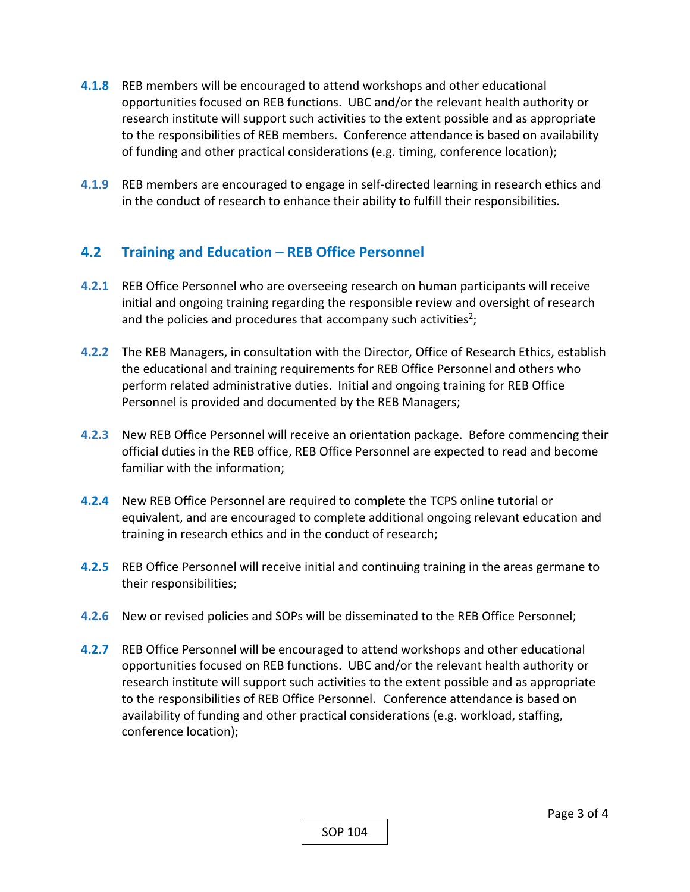- **4.1.8**  REB members will be encouraged to attend workshops and other educational opportunities focused on REB functions. UBC and/or the relevant health authority or research institute will support such activities to the extent possible and as appropriate to the responsibilities of REB members. Conference attendance is based on availability of funding and other practical considerations (e.g. timing, conference location);
- **4.1.9** REB members are encouraged to engage in self-directed learning in research ethics and in the conduct of research to enhance their ability to fulfill their responsibilities.

## **4.2 Training and Education – REB Office Personnel**

- **4.2.1** REB Office Personnel who are overseeing research on human participants will receive initial and ongoing training regarding the responsible review and oversight of research and the policies and procedures that accompany such activities<sup>2</sup>;
- **4.2.2** The REB Managers, in consultation with the Director, Office of Research Ethics, establish the educational and training requirements for REB Office Personnel and others who perform related administrative duties. Initial and ongoing training for REB Office Personnel is provided and documented by the REB Managers;
- **4.2.3** New REB Office Personnel will receive an orientation package. Before commencing their official duties in the REB office, REB Office Personnel are expected to read and become familiar with the information;
- **4.2.4** New REB Office Personnel are required to complete the TCPS online tutorial or equivalent, and are encouraged to complete additional ongoing relevant education and training in research ethics and in the conduct of research;
- **4.2.5**  REB Office Personnel will receive initial and continuing training in the areas germane to their responsibilities;
- **4.2.6** New or revised policies and SOPs will be disseminated to the REB Office Personnel;
- **4.2.7**  REB Office Personnel will be encouraged to attend workshops and other educational opportunities focused on REB functions. UBC and/or the relevant health authority or research institute will support such activities to the extent possible and as appropriate to the responsibilities of REB Office Personnel.Conference attendance is based on availability of funding and other practical considerations (e.g. workload, staffing, conference location);